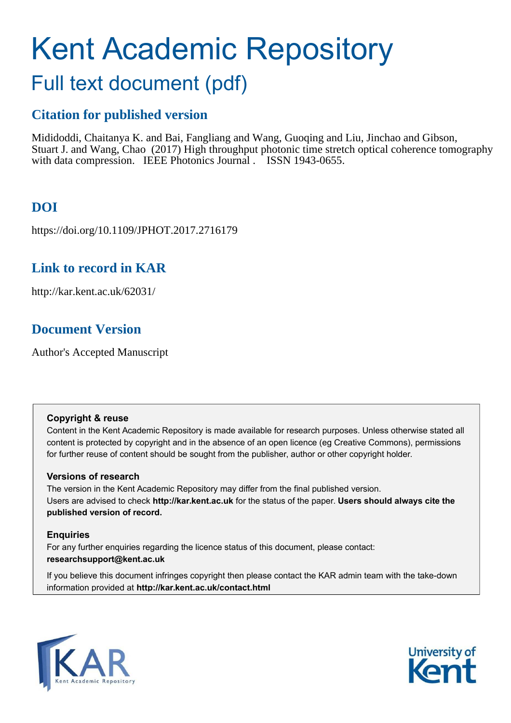# Kent Academic Repository

# Full text document (pdf)

## **Citation for published version**

Mididoddi, Chaitanya K. and Bai, Fangliang and Wang, Guoqing and Liu, Jinchao and Gibson, Stuart J. and Wang, Chao (2017) High throughput photonic time stretch optical coherence tomography with data compression. IEEE Photonics Journal . ISSN 1943-0655.

# **DOI**

https://doi.org/10.1109/JPHOT.2017.2716179

## **Link to record in KAR**

http://kar.kent.ac.uk/62031/

## **Document Version**

Author's Accepted Manuscript

#### **Copyright & reuse**

Content in the Kent Academic Repository is made available for research purposes. Unless otherwise stated all content is protected by copyright and in the absence of an open licence (eg Creative Commons), permissions for further reuse of content should be sought from the publisher, author or other copyright holder.

#### **Versions of research**

The version in the Kent Academic Repository may differ from the final published version. Users are advised to check **http://kar.kent.ac.uk** for the status of the paper. **Users should always cite the published version of record.**

#### **Enquiries**

For any further enquiries regarding the licence status of this document, please contact: **researchsupport@kent.ac.uk**

If you believe this document infringes copyright then please contact the KAR admin team with the take-down information provided at **http://kar.kent.ac.uk/contact.html**



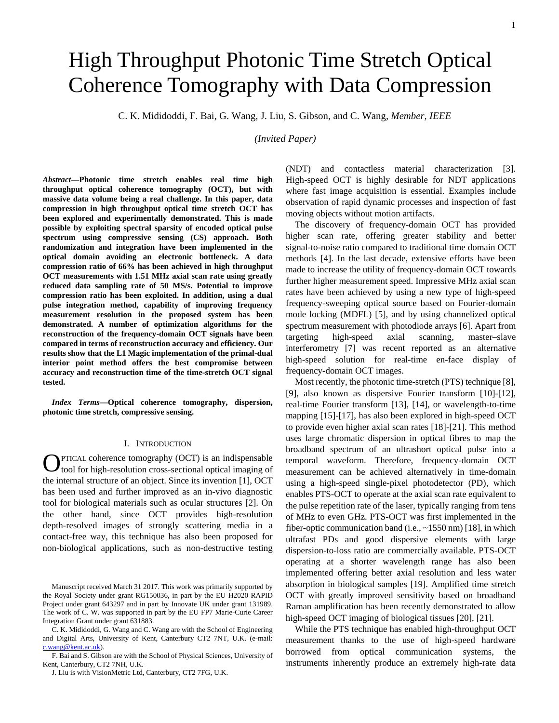# High Throughput Photonic Time Stretch Optical Coherence Tomography with Data Compression

C. K. Mididoddi, F. Bai, G. Wang, J. Liu, S. Gibson, and C. Wang, *Member, IEEE*

*(Invited Paper)*

*Abstract***—Photonic time stretch enables real time high throughput optical coherence tomography (OCT), but with massive data volume being a real challenge. In this paper, data compression in high throughput optical time stretch OCT has been explored and experimentally demonstrated. This is made possible by exploiting spectral sparsity of encoded optical pulse spectrum using compressive sensing (CS) approach. Both randomization and integration have been implemented in the optical domain avoiding an electronic bottleneck. A data compression ratio of 66% has been achieved in high throughput OCT measurements with 1.51 MHz axial scan rate using greatly reduced data sampling rate of 50 MS/s. Potential to improve compression ratio has been exploited. In addition, using a dual pulse integration method, capability of improving frequency measurement resolution in the proposed system has been demonstrated. A number of optimization algorithms for the reconstruction of the frequency-domain OCT signals have been compared in terms of reconstruction accuracy and efficiency. Our results show that the L1 Magic implementation of the primal-dual interior point method offers the best compromise between accuracy and reconstruction time of the time-stretch OCT signal tested.** 

*Index Terms***—Optical coherence tomography, dispersion, photonic time stretch, compressive sensing.** 

#### I. INTRODUCTION

PTICAL coherence tomography (OCT) is an indispensable  $Q$ PTICAL coherence tomography (OCT) is an indispensable tool for high-resolution cross-sectional optical imaging of the internal structure of an object. Since its invention [1], OCT has been used and further improved as an in-vivo diagnostic tool for biological materials such as ocular structures [2]. On the other hand, since OCT provides high-resolution depth-resolved images of strongly scattering media in a contact-free way, this technique has also been proposed for non-biological applications, such as non-destructive testing

C. K. Mididoddi, G. Wang and C. Wang are with the School of Engineering and Digital Arts, University of Kent, Canterbury CT2 7NT, U.K. (e-mail: [c.wang@kent.ac.uk\)](mailto:c.wang@kent.ac.uk).

F. Bai and S. Gibson are with the School of Physical Sciences, University of Kent, Canterbury, CT2 7NH, U.K.

(NDT) and contactless material characterization [3]. High-speed OCT is highly desirable for NDT applications where fast image acquisition is essential. Examples include observation of rapid dynamic processes and inspection of fast moving objects without motion artifacts.

The discovery of frequency-domain OCT has provided higher scan rate, offering greater stability and better signal-to-noise ratio compared to traditional time domain OCT methods [4]. In the last decade, extensive efforts have been made to increase the utility of frequency-domain OCT towards further higher measurement speed. Impressive MHz axial scan rates have been achieved by using a new type of high-speed frequency-sweeping optical source based on Fourier-domain mode locking (MDFL) [5], and by using channelized optical spectrum measurement with photodiode arrays [6]. Apart from targeting high-speed axial scanning, master–slave interferometry [7] was recent reported as an alternative high-speed solution for real-time en-face display of frequency-domain OCT images.

Most recently, the photonic time-stretch (PTS) technique [8], [9], also known as dispersive Fourier transform [10]-[12], real-time Fourier transform [13], [14], or wavelength-to-time mapping [15]-[17], has also been explored in high-speed OCT to provide even higher axial scan rates [18]-[21]. This method uses large chromatic dispersion in optical fibres to map the broadband spectrum of an ultrashort optical pulse into a temporal waveform. Therefore, frequency-domain OCT measurement can be achieved alternatively in time-domain using a high-speed single-pixel photodetector (PD), which enables PTS-OCT to operate at the axial scan rate equivalent to the pulse repetition rate of the laser, typically ranging from tens of MHz to even GHz. PTS-OCT was first implemented in the fiber-optic communication band (i.e.,  $\sim$ 1550 nm) [18], in which ultrafast PDs and good dispersive elements with large dispersion-to-loss ratio are commercially available. PTS-OCT operating at a shorter wavelength range has also been implemented offering better axial resolution and less water absorption in biological samples [19]. Amplified time stretch OCT with greatly improved sensitivity based on broadband Raman amplification has been recently demonstrated to allow high-speed OCT imaging of biological tissues [20], [21].

While the PTS technique has enabled high-throughput OCT measurement thanks to the use of high-speed hardware borrowed from optical communication systems, the instruments inherently produce an extremely high-rate data

Manuscript received March 31 2017. This work was primarily supported by the Royal Society under grant RG150036, in part by the EU H2020 RAPID Project under grant 643297 and in part by Innovate UK under grant 131989. The work of C. W. was supported in part by the EU FP7 Marie-Curie Career Integration Grant under grant 631883.

J. Liu is with VisionMetric Ltd, Canterbury, CT2 7FG, U.K.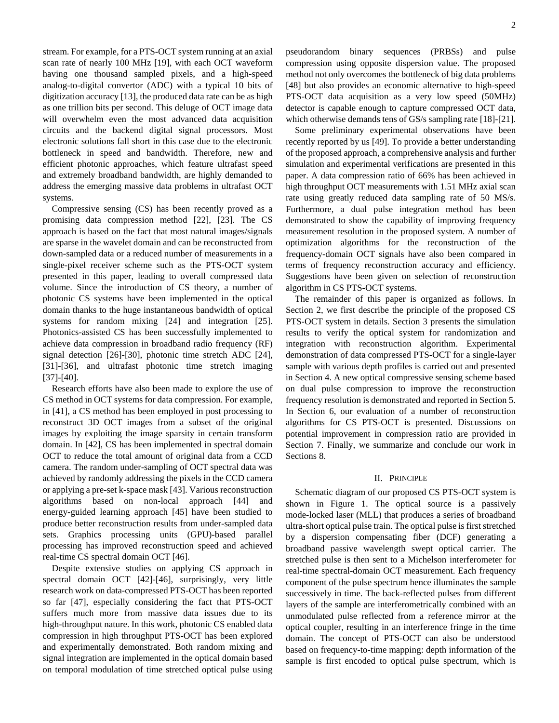stream. For example, for a PTS-OCT system running at an axial scan rate of nearly 100 MHz [19], with each OCT waveform having one thousand sampled pixels, and a high-speed analog-to-digital convertor (ADC) with a typical 10 bits of digitization accuracy [13], the produced data rate can be as high as one trillion bits per second. This deluge of OCT image data will overwhelm even the most advanced data acquisition circuits and the backend digital signal processors. Most electronic solutions fall short in this case due to the electronic bottleneck in speed and bandwidth. Therefore, new and efficient photonic approaches, which feature ultrafast speed and extremely broadband bandwidth, are highly demanded to address the emerging massive data problems in ultrafast OCT systems.

Compressive sensing (CS) has been recently proved as a promising data compression method [22], [23]. The CS approach is based on the fact that most natural images/signals are sparse in the wavelet domain and can be reconstructed from down-sampled data or a reduced number of measurements in a single-pixel receiver scheme such as the PTS-OCT system presented in this paper, leading to overall compressed data volume. Since the introduction of CS theory, a number of photonic CS systems have been implemented in the optical domain thanks to the huge instantaneous bandwidth of optical systems for random mixing [24] and integration [25]. Photonics-assisted CS has been successfully implemented to achieve data compression in broadband radio frequency (RF) signal detection [26]-[30], photonic time stretch ADC [24], [31]-[36], and ultrafast photonic time stretch imaging [37]-[40].

Research efforts have also been made to explore the use of CS method in OCT systems for data compression. For example, in [41], a CS method has been employed in post processing to reconstruct 3D OCT images from a subset of the original images by exploiting the image sparsity in certain transform domain. In [42], CS has been implemented in spectral domain OCT to reduce the total amount of original data from a CCD camera. The random under-sampling of OCT spectral data was achieved by randomly addressing the pixels in the CCD camera or applying a pre-set k-space mask [43]. Various reconstruction algorithms based on non-local approach [44] and energy-guided learning approach [45] have been studied to produce better reconstruction results from under-sampled data sets. Graphics processing units (GPU)-based parallel processing has improved reconstruction speed and achieved real-time CS spectral domain OCT [46].

Despite extensive studies on applying CS approach in spectral domain OCT [42]-[46], surprisingly, very little research work on data-compressed PTS-OCT has been reported so far [47], especially considering the fact that PTS-OCT suffers much more from massive data issues due to its high-throughput nature. In this work, photonic CS enabled data compression in high throughput PTS-OCT has been explored and experimentally demonstrated. Both random mixing and signal integration are implemented in the optical domain based on temporal modulation of time stretched optical pulse using

pseudorandom binary sequences (PRBSs) and pulse compression using opposite dispersion value. The proposed method not only overcomes the bottleneck of big data problems [48] but also provides an economic alternative to high-speed PTS-OCT data acquisition as a very low speed (50MHz) detector is capable enough to capture compressed OCT data, which otherwise demands tens of GS/s sampling rate [18]-[21].

Some preliminary experimental observations have been recently reported by us [49]. To provide a better understanding of the proposed approach, a comprehensive analysis and further simulation and experimental verifications are presented in this paper. A data compression ratio of 66% has been achieved in high throughput OCT measurements with 1.51 MHz axial scan rate using greatly reduced data sampling rate of 50 MS/s. Furthermore, a dual pulse integration method has been demonstrated to show the capability of improving frequency measurement resolution in the proposed system. A number of optimization algorithms for the reconstruction of the frequency-domain OCT signals have also been compared in terms of frequency reconstruction accuracy and efficiency. Suggestions have been given on selection of reconstruction algorithm in CS PTS-OCT systems.

The remainder of this paper is organized as follows. In Section 2, we first describe the principle of the proposed CS PTS-OCT system in details. Section 3 presents the simulation results to verify the optical system for randomization and integration with reconstruction algorithm. Experimental demonstration of data compressed PTS-OCT for a single-layer sample with various depth profiles is carried out and presented in Section 4. A new optical compressive sensing scheme based on dual pulse compression to improve the reconstruction frequency resolution is demonstrated and reported in Section 5. In Section 6, our evaluation of a number of reconstruction algorithms for CS PTS-OCT is presented. Discussions on potential improvement in compression ratio are provided in Section 7. Finally, we summarize and conclude our work in Sections 8.

#### II. PRINCIPLE

Schematic diagram of our proposed CS PTS-OCT system is shown in Figure 1. The optical source is a passively mode-locked laser (MLL) that produces a series of broadband ultra-short optical pulse train. The optical pulse is first stretched by a dispersion compensating fiber (DCF) generating a broadband passive wavelength swept optical carrier. The stretched pulse is then sent to a Michelson interferometer for real-time spectral-domain OCT measurement. Each frequency component of the pulse spectrum hence illuminates the sample successively in time. The back-reflected pulses from different layers of the sample are interferometrically combined with an unmodulated pulse reflected from a reference mirror at the optical coupler, resulting in an interference fringe in the time domain. The concept of PTS-OCT can also be understood based on frequency-to-time mapping: depth information of the sample is first encoded to optical pulse spectrum, which is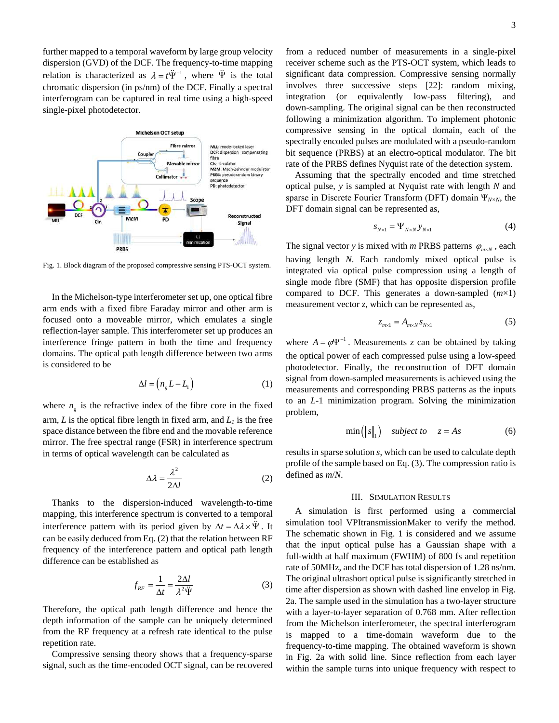further mapped to a temporal waveform by large group velocity dispersion (GVD) of the DCF. The frequency-to-time mapping relation is characterized as  $\lambda = t \ddot{\Psi}^{-1}$ , where  $\ddot{\Psi}$  is the total chromatic dispersion (in ps/nm) of the DCF. Finally a spectral interferogram can be captured in real time using a high-speed single-pixel photodetector.



Fig. 1. Block diagram of the proposed compressive sensing PTS-OCT system.

In the Michelson-type interferometer set up, one optical fibre arm ends with a fixed fibre Faraday mirror and other arm is focused onto a moveable mirror, which emulates a single reflection-layer sample. This interferometer set up produces an interference fringe pattern in both the time and frequency domains. The optical path length difference between two arms is considered to be

$$
\Delta l = \left( n_{g} L - L_{1} \right) \tag{1}
$$

where  $n_{g}$  is the refractive index of the fibre core in the fixed arm, *L* is the optical fibre length in fixed arm, and *L<sup>1</sup>* is the free space distance between the fibre end and the movable reference mirror. The free spectral range (FSR) in interference spectrum in terms of optical wavelength can be calculated as

$$
\Delta \lambda = \frac{\lambda^2}{2\Delta l} \tag{2}
$$

Thanks to the dispersion-induced wavelength-to-time mapping, this interference spectrum is converted to a temporal interference pattern with its period given by  $\Delta t = \Delta \lambda \times \ddot{\Psi}$ . It can be easily deduced from Eq. (2) that the relation between RF frequency of the interference pattern and optical path length difference can be established as

$$
f_{RF} = \frac{1}{\Delta t} = \frac{2\Delta l}{\lambda^2 \ddot{\Psi}}\tag{3}
$$

Therefore, the optical path length difference and hence the depth information of the sample can be uniquely determined from the RF frequency at a refresh rate identical to the pulse repetition rate.

Compressive sensing theory shows that a frequency-sparse signal, such as the time-encoded OCT signal, can be recovered from a reduced number of measurements in a single-pixel receiver scheme such as the PTS-OCT system, which leads to significant data compression. Compressive sensing normally involves three successive steps [22]: random mixing, integration (or equivalently low-pass filtering), and down-sampling. The original signal can be then reconstructed following a minimization algorithm. To implement photonic compressive sensing in the optical domain, each of the spectrally encoded pulses are modulated with a pseudo-random bit sequence (PRBS) at an electro-optical modulator. The bit rate of the PRBS defines Nyquist rate of the detection system.

Assuming that the spectrally encoded and time stretched optical pulse, *y* is sampled at Nyquist rate with length *N* and sparse in Discrete Fourier Transform (DFT) domain  $\Psi_{N\times N}$ , the DFT domain signal can be represented as,

$$
s_{N \times 1} = \Psi_{N \times N} y_{N \times 1}
$$
 (4)

The signal vector *y* is mixed with *m* PRBS patterns  $\varphi_{m \times N}$ , each having length *N*. Each randomly mixed optical pulse is integrated via optical pulse compression using a length of single mode fibre (SMF) that has opposite dispersion profile compared to DCF. This generates a down-sampled (*m*×1) measurement vector *z*, which can be represented as,

$$
z_{m\times 1} = A_{m\times N} s_{N\times 1} \tag{5}
$$

where  $A = \varphi \Psi^{-1}$ . Measurements *z* can be obtained by taking the optical power of each compressed pulse using a low-speed photodetector. Finally, the reconstruction of DFT domain signal from down-sampled measurements is achieved using the measurements and corresponding PRBS patterns as the inputs to an *L*-1 minimization program. Solving the minimization problem,

$$
\min\left(\|s\|_{1}\right) \quad subject \ to \quad z = As \tag{6}
$$

results in sparse solution *s*, which can be used to calculate depth profile of the sample based on Eq. (3). The compression ratio is defined as *m*/*N*.

#### III. SIMULATION RESULTS

A simulation is first performed using a commercial simulation tool VPItransmissionMaker to verify the method. The schematic shown in Fig. 1 is considered and we assume that the input optical pulse has a Gaussian shape with a full-width at half maximum (FWHM) of 800 fs and repetition rate of 50MHz, and the DCF has total dispersion of 1.28 ns/nm. The original ultrashort optical pulse is significantly stretched in time after dispersion as shown with dashed line envelop in Fig. 2a. The sample used in the simulation has a two-layer structure with a layer-to-layer separation of 0.768 mm. After reflection from the Michelson interferometer, the spectral interferogram is mapped to a time-domain waveform due to the frequency-to-time mapping. The obtained waveform is shown in Fig. 2a with solid line. Since reflection from each layer within the sample turns into unique frequency with respect to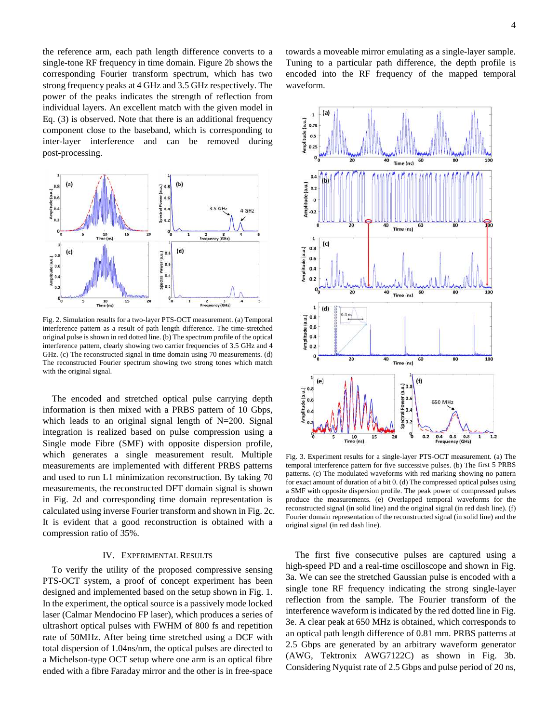the reference arm, each path length difference converts to a single-tone RF frequency in time domain. Figure 2b shows the corresponding Fourier transform spectrum, which has two strong frequency peaks at 4 GHz and 3.5 GHz respectively. The power of the peaks indicates the strength of reflection from individual layers. An excellent match with the given model in Eq. (3) is observed. Note that there is an additional frequency component close to the baseband, which is corresponding to inter-layer interference and can be removed during post-processing.



Fig. 2. Simulation results for a two-layer PTS-OCT measurement. (a) Temporal interference pattern as a result of path length difference. The time-stretched original pulse is shown in red dotted line. (b) The spectrum profile of the optical interference pattern, clearly showing two carrier frequencies of 3.5 GHz and 4 GHz. (c) The reconstructed signal in time domain using 70 measurements. (d) The reconstructed Fourier spectrum showing two strong tones which match with the original signal.

The encoded and stretched optical pulse carrying depth information is then mixed with a PRBS pattern of 10 Gbps, which leads to an original signal length of N=200. Signal integration is realized based on pulse compression using a Single mode Fibre (SMF) with opposite dispersion profile, which generates a single measurement result. Multiple measurements are implemented with different PRBS patterns and used to run L1 minimization reconstruction. By taking 70 measurements, the reconstructed DFT domain signal is shown in Fig. 2d and corresponding time domain representation is calculated using inverse Fourier transform and shown in Fig. 2c. It is evident that a good reconstruction is obtained with a compression ratio of 35%.

#### IV. EXPERIMENTAL RESULTS

To verify the utility of the proposed compressive sensing PTS-OCT system, a proof of concept experiment has been designed and implemented based on the setup shown in Fig. 1. In the experiment, the optical source is a passively mode locked laser (Calmar Mendocino FP laser), which produces a series of ultrashort optical pulses with FWHM of 800 fs and repetition rate of 50MHz. After being time stretched using a DCF with total dispersion of 1.04ns/nm, the optical pulses are directed to a Michelson-type OCT setup where one arm is an optical fibre ended with a fibre Faraday mirror and the other is in free-space

towards a moveable mirror emulating as a single-layer sample. Tuning to a particular path difference, the depth profile is encoded into the RF frequency of the mapped temporal waveform.



Fig. 3. Experiment results for a single-layer PTS-OCT measurement. (a) The temporal interference pattern for five successive pulses. (b) The first 5 PRBS patterns. (c) The modulated waveforms with red marking showing no pattern for exact amount of duration of a bit 0. (d) The compressed optical pulses using a SMF with opposite dispersion profile. The peak power of compressed pulses produce the measurements. (e) Overlapped temporal waveforms for the reconstructed signal (in solid line) and the original signal (in red dash line). (f) Fourier domain representation of the reconstructed signal (in solid line) and the original signal (in red dash line).

The first five consecutive pulses are captured using a high-speed PD and a real-time oscilloscope and shown in Fig. 3a. We can see the stretched Gaussian pulse is encoded with a single tone RF frequency indicating the strong single-layer reflection from the sample. The Fourier transform of the interference waveform is indicated by the red dotted line in Fig. 3e. A clear peak at 650 MHz is obtained, which corresponds to an optical path length difference of 0.81 mm. PRBS patterns at 2.5 Gbps are generated by an arbitrary waveform generator (AWG, Tektronix AWG7122C) as shown in Fig. 3b. Considering Nyquist rate of 2.5 Gbps and pulse period of 20 ns,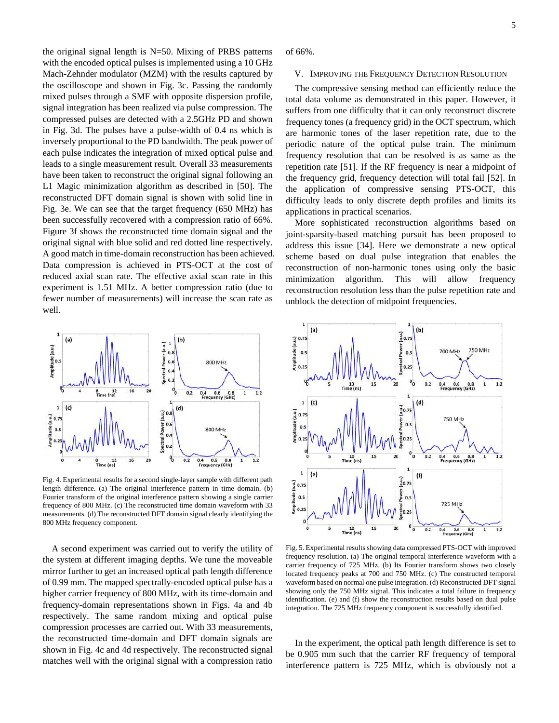the original signal length is  $N=50$ . Mixing of PRBS patterns with the encoded optical pulses is implemented using a 10 GHz Mach-Zehnder modulator (MZM) with the results captured by the oscilloscope and shown in Fig. 3c. Passing the randomly mixed pulses through a SMF with opposite dispersion profile, signal integration has been realized via pulse compression. The compressed pulses are detected with a 2.5GHz PD and shown in Fig. 3d. The pulses have a pulse-width of 0.4 ns which is inversely proportional to the PD bandwidth. The peak power of each pulse indicates the integration of mixed optical pulse and leads to a single measurement result. Overall 33 measurements have been taken to reconstruct the original signal following an L1 Magic minimization algorithm as described in [50]. The reconstructed DFT domain signal is shown with solid line in Fig. 3e. We can see that the target frequency (650 MHz) has been successfully recovered with a compression ratio of 66%. Figure 3f shows the reconstructed time domain signal and the original signal with blue solid and red dotted line respectively. A good match in time-domain reconstruction has been achieved. Data compression is achieved in PTS-OCT at the cost of reduced axial scan rate. The effective axial scan rate in this experiment is 1.51 MHz. A better compression ratio (due to fewer number of measurements) will increase the scan rate as well.



Fig. 4. Experimental results for a second single-layer sample with different path length difference. (a) The original interference pattern in time domain. (b) Fourier transform of the original interference pattern showing a single carrier frequency of 800 MHz. (c) The reconstructed time domain waveform with 33 measurements. (d) The reconstructed DFT domain signal clearly identifying the 800 MHz frequency component.

A second experiment was carried out to verify the utility of the system at different imaging depths. We tune the moveable mirror further to get an increased optical path length difference of 0.99 mm. The mapped spectrally-encoded optical pulse has a higher carrier frequency of 800 MHz, with its time-domain and frequency-domain representations shown in Figs. 4a and 4b respectively. The same random mixing and optical pulse compression processes are carried out. With 33 measurements, the reconstructed time-domain and DFT domain signals are shown in Fig. 4c and 4d respectively. The reconstructed signal matches well with the original signal with a compression ratio

of 66%.

#### V. IMPROVING THE FREQUENCY DETECTION RESOLUTION

The compressive sensing method can efficiently reduce the total data volume as demonstrated in this paper. However, it suffers from one difficulty that it can only reconstruct discrete frequency tones (a frequency grid) in the OCT spectrum, which are harmonic tones of the laser repetition rate, due to the periodic nature of the optical pulse train. The minimum frequency resolution that can be resolved is as same as the repetition rate [51]. If the RF frequency is near a midpoint of the frequency grid, frequency detection will total fail [52]. In the application of compressive sensing PTS-OCT, this difficulty leads to only discrete depth profiles and limits its applications in practical scenarios.

More sophisticated reconstruction algorithms based on joint-sparsity-based matching pursuit has been proposed to address this issue [34]. Here we demonstrate a new optical scheme based on dual pulse integration that enables the reconstruction of non-harmonic tones using only the basic minimization algorithm. This will allow frequency reconstruction resolution less than the pulse repetition rate and unblock the detection of midpoint frequencies.



Fig. 5. Experimental results showing data compressed PTS-OCT with improved frequency resolution. (a) The original temporal interference waveform with a carrier frequency of 725 MHz. (b) Its Fourier transform shows two closely located frequency peaks at 700 and 750 MHz. (c) The constructed temporal waveform based on normal one pulse integration. (d) Reconstructed DFT signal showing only the 750 MHz signal. This indicates a total failure in frequency identification. (e) and (f) show the reconstruction results based on dual pulse integration. The 725 MHz frequency component is successfully identified.

In the experiment, the optical path length difference is set to be 0.905 mm such that the carrier RF frequency of temporal interference pattern is 725 MHz, which is obviously not a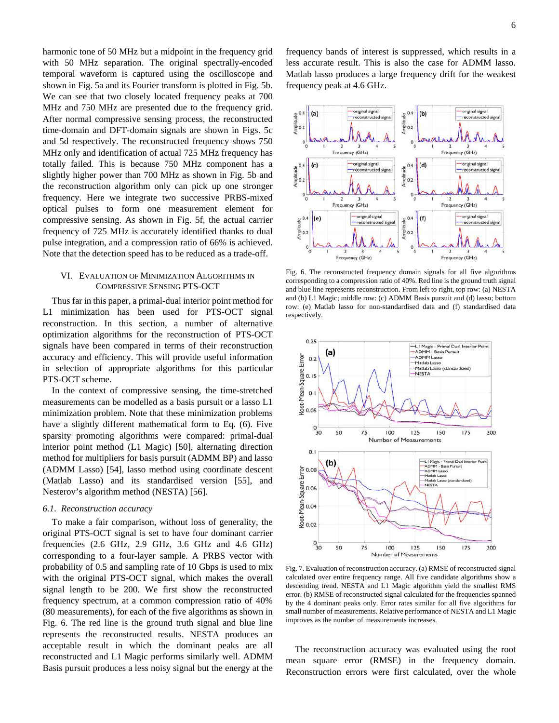harmonic tone of 50 MHz but a midpoint in the frequency grid with 50 MHz separation. The original spectrally-encoded temporal waveform is captured using the oscilloscope and shown in Fig. 5a and its Fourier transform is plotted in Fig. 5b. We can see that two closely located frequency peaks at 700 MHz and 750 MHz are presented due to the frequency grid. After normal compressive sensing process, the reconstructed time-domain and DFT-domain signals are shown in Figs. 5c and 5d respectively. The reconstructed frequency shows 750 MHz only and identification of actual 725 MHz frequency has totally failed. This is because 750 MHz component has a slightly higher power than 700 MHz as shown in Fig. 5b and the reconstruction algorithm only can pick up one stronger frequency. Here we integrate two successive PRBS-mixed optical pulses to form one measurement element for compressive sensing. As shown in Fig. 5f, the actual carrier frequency of 725 MHz is accurately identified thanks to dual pulse integration, and a compression ratio of 66% is achieved. Note that the detection speed has to be reduced as a trade-off.

#### VI. EVALUATION OF MINIMIZATION ALGORITHMS IN COMPRESSIVE SENSING PTS-OCT

Thus far in this paper, a primal-dual interior point method for L1 minimization has been used for PTS-OCT signal reconstruction. In this section, a number of alternative optimization algorithms for the reconstruction of PTS-OCT signals have been compared in terms of their reconstruction accuracy and efficiency. This will provide useful information in selection of appropriate algorithms for this particular PTS-OCT scheme.

In the context of compressive sensing, the time-stretched measurements can be modelled as a basis pursuit or a lasso L1 minimization problem. Note that these minimization problems have a slightly different mathematical form to Eq. (6). Five sparsity promoting algorithms were compared: primal-dual interior point method (L1 Magic) [50], alternating direction method for multipliers for basis pursuit (ADMM BP) and lasso (ADMM Lasso) [54], lasso method using coordinate descent (Matlab Lasso) and its standardised version [55], and Nesterov's algorithm method (NESTA) [56].

#### *6.1. Reconstruction accuracy*

To make a fair comparison, without loss of generality, the original PTS-OCT signal is set to have four dominant carrier frequencies (2.6 GHz, 2.9 GHz, 3.6 GHz and 4.6 GHz) corresponding to a four-layer sample. A PRBS vector with probability of 0.5 and sampling rate of 10 Gbps is used to mix with the original PTS-OCT signal, which makes the overall signal length to be 200. We first show the reconstructed frequency spectrum, at a common compression ratio of 40% (80 measurements), for each of the five algorithms as shown in Fig. 6. The red line is the ground truth signal and blue line represents the reconstructed results. NESTA produces an acceptable result in which the dominant peaks are all reconstructed and L1 Magic performs similarly well. ADMM Basis pursuit produces a less noisy signal but the energy at the frequency bands of interest is suppressed, which results in a less accurate result. This is also the case for ADMM lasso. Matlab lasso produces a large frequency drift for the weakest frequency peak at 4.6 GHz.



Fig. 6. The reconstructed frequency domain signals for all five algorithms corresponding to a compression ratio of 40%. Red line is the ground truth signal and blue line represents reconstruction. From left to right, top row: (a) NESTA and (b) L1 Magic; middle row: (c) ADMM Basis pursuit and (d) lasso; bottom row: (e) Matlab lasso for non-standardised data and (f) standardised data respectively.



Fig. 7. Evaluation of reconstruction accuracy. (a) RMSE of reconstructed signal calculated over entire frequency range. All five candidate algorithms show a descending trend. NESTA and L1 Magic algorithm yield the smallest RMS error. (b) RMSE of reconstructed signal calculated for the frequencies spanned by the 4 dominant peaks only. Error rates similar for all five algorithms for small number of measurements. Relative performance of NESTA and L1 Magic improves as the number of measurements increases.

The reconstruction accuracy was evaluated using the root mean square error (RMSE) in the frequency domain. Reconstruction errors were first calculated, over the whole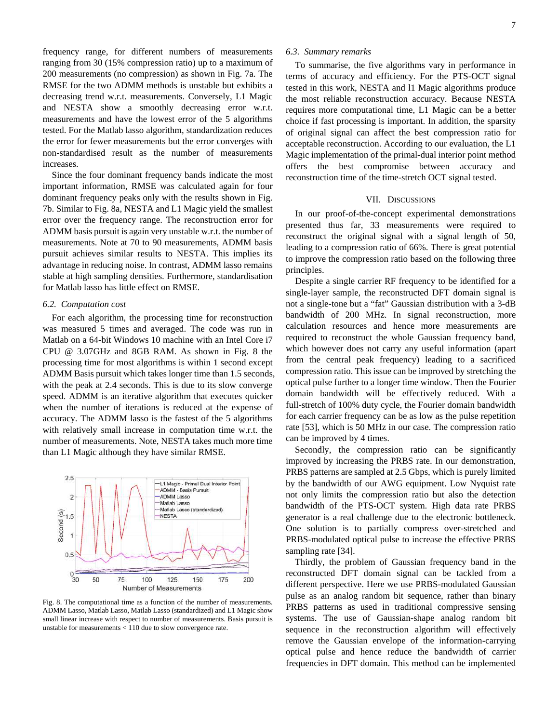frequency range, for different numbers of measurements ranging from 30 (15% compression ratio) up to a maximum of 200 measurements (no compression) as shown in Fig. 7a. The RMSE for the two ADMM methods is unstable but exhibits a decreasing trend w.r.t. measurements. Conversely, L1 Magic and NESTA show a smoothly decreasing error w.r.t. measurements and have the lowest error of the 5 algorithms tested. For the Matlab lasso algorithm, standardization reduces the error for fewer measurements but the error converges with non-standardised result as the number of measurements increases.

Since the four dominant frequency bands indicate the most important information, RMSE was calculated again for four dominant frequency peaks only with the results shown in Fig. 7b. Similar to Fig. 8a, NESTA and L1 Magic yield the smallest error over the frequency range. The reconstruction error for ADMM basis pursuit is again very unstable w.r.t. the number of measurements. Note at 70 to 90 measurements, ADMM basis pursuit achieves similar results to NESTA. This implies its advantage in reducing noise. In contrast, ADMM lasso remains stable at high sampling densities. Furthermore, standardisation for Matlab lasso has little effect on RMSE.

#### *6.2. Computation cost*

For each algorithm, the processing time for reconstruction was measured 5 times and averaged. The code was run in Matlab on a 64-bit Windows 10 machine with an Intel Core i7 CPU @ 3.07GHz and 8GB RAM. As shown in Fig. 8 the processing time for most algorithms is within 1 second except ADMM Basis pursuit which takes longer time than 1.5 seconds, with the peak at 2.4 seconds. This is due to its slow converge speed. ADMM is an iterative algorithm that executes quicker when the number of iterations is reduced at the expense of accuracy. The ADMM lasso is the fastest of the 5 algorithms with relatively small increase in computation time w.r.t. the number of measurements. Note, NESTA takes much more time than L1 Magic although they have similar RMSE.



Fig. 8. The computational time as a function of the number of measurements. ADMM Lasso, Matlab Lasso, Matlab Lasso (standardized) and L1 Magic show small linear increase with respect to number of measurements. Basis pursuit is unstable for measurements < 110 due to slow convergence rate.

#### *6.3. Summary remarks*

To summarise, the five algorithms vary in performance in terms of accuracy and efficiency. For the PTS-OCT signal tested in this work, NESTA and l1 Magic algorithms produce the most reliable reconstruction accuracy. Because NESTA requires more computational time, L1 Magic can be a better choice if fast processing is important. In addition, the sparsity of original signal can affect the best compression ratio for acceptable reconstruction. According to our evaluation, the L1 Magic implementation of the primal-dual interior point method offers the best compromise between accuracy and reconstruction time of the time-stretch OCT signal tested.

#### VII. DISCUSSIONS

In our proof-of-the-concept experimental demonstrations presented thus far, 33 measurements were required to reconstruct the original signal with a signal length of 50, leading to a compression ratio of 66%. There is great potential to improve the compression ratio based on the following three principles.

Despite a single carrier RF frequency to be identified for a single-layer sample, the reconstructed DFT domain signal is not a single-tone but a "fat" Gaussian distribution with a 3-dB bandwidth of 200 MHz. In signal reconstruction, more calculation resources and hence more measurements are required to reconstruct the whole Gaussian frequency band, which however does not carry any useful information (apart from the central peak frequency) leading to a sacrificed compression ratio. This issue can be improved by stretching the optical pulse further to a longer time window. Then the Fourier domain bandwidth will be effectively reduced. With a full-stretch of 100% duty cycle, the Fourier domain bandwidth for each carrier frequency can be as low as the pulse repetition rate [53], which is 50 MHz in our case. The compression ratio can be improved by 4 times.

Secondly, the compression ratio can be significantly improved by increasing the PRBS rate. In our demonstration, PRBS patterns are sampled at 2.5 Gbps, which is purely limited by the bandwidth of our AWG equipment. Low Nyquist rate not only limits the compression ratio but also the detection bandwidth of the PTS-OCT system. High data rate PRBS generator is a real challenge due to the electronic bottleneck. One solution is to partially compress over-stretched and PRBS-modulated optical pulse to increase the effective PRBS sampling rate [34].

Thirdly, the problem of Gaussian frequency band in the reconstructed DFT domain signal can be tackled from a different perspective. Here we use PRBS-modulated Gaussian pulse as an analog random bit sequence, rather than binary PRBS patterns as used in traditional compressive sensing systems. The use of Gaussian-shape analog random bit sequence in the reconstruction algorithm will effectively remove the Gaussian envelope of the information-carrying optical pulse and hence reduce the bandwidth of carrier frequencies in DFT domain. This method can be implemented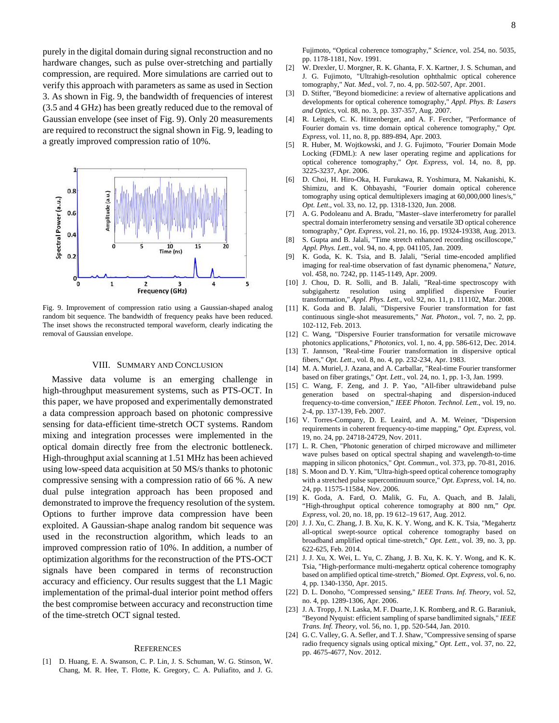purely in the digital domain during signal reconstruction and no hardware changes, such as pulse over-stretching and partially compression, are required. More simulations are carried out to verify this approach with parameters as same as used in Section 3. As shown in Fig. 9, the bandwidth of frequencies of interest (3.5 and 4 GHz) has been greatly reduced due to the removal of Gaussian envelope (see inset of Fig. 9). Only 20 measurements are required to reconstruct the signal shown in Fig. 9, leading to a greatly improved compression ratio of 10%.



Fig. 9. Improvement of compression ratio using a Gaussian-shaped analog random bit sequence. The bandwidth of frequency peaks have been reduced. The inset shows the reconstructed temporal waveform, clearly indicating the removal of Gaussian envelope.

#### VIII. SUMMARY AND CONCLUSION

Massive data volume is an emerging challenge in high-throughput measurement systems, such as PTS-OCT. In this paper, we have proposed and experimentally demonstrated a data compression approach based on photonic compressive sensing for data-efficient time-stretch OCT systems. Random mixing and integration processes were implemented in the optical domain directly free from the electronic bottleneck. High-throughput axial scanning at 1.51 MHz has been achieved using low-speed data acquisition at 50 MS/s thanks to photonic compressive sensing with a compression ratio of 66 %. A new dual pulse integration approach has been proposed and demonstrated to improve the frequency resolution of the system. Options to further improve data compression have been exploited. A Gaussian-shape analog random bit sequence was used in the reconstruction algorithm, which leads to an improved compression ratio of 10%. In addition, a number of optimization algorithms for the reconstruction of the PTS-OCT signals have been compared in terms of reconstruction accuracy and efficiency. Our results suggest that the L1 Magic implementation of the primal-dual interior point method offers the best compromise between accuracy and reconstruction time of the time-stretch OCT signal tested.

#### **REFERENCES**

[1] D. Huang, E. A. Swanson, C. P. Lin, J. S. Schuman, W. G. Stinson, W. Chang, M. R. Hee, T. Flotte, K. Gregory, C. A. Puliafito, and J. G. Fujimoto, "Optical coherence tomography," *Science*, vol. 254, no. 5035, pp. 1178-1181, Nov. 1991.

- [2] W. Drexler, U. Morgner, R. K. Ghanta, F. X. Kartner, J. S. Schuman, and J. G. Fujimoto, "Ultrahigh-resolution ophthalmic optical coherence tomography," *Nat. Med*., vol. 7, no. 4, pp. 502-507, Apr. 2001.
- [3] D. Stifter, "Beyond biomedicine: a review of alternative applications and developments for optical coherence tomography," *Appl. Phys. B: Lasers and Optics*, vol. 88, no. 3, pp. 337-357, Aug. 2007.
- [4] R. Leitgeb, C. K. Hitzenberger, and A. F. Fercher, "Performance of Fourier domain vs. time domain optical coherence tomography," *Opt. Express*, vol. 11, no. 8, pp. 889-894, Apr. 2003.
- [5] R. Huber, M. Wojtkowski, and J. G. Fujimoto, "Fourier Domain Mode Locking (FDML): A new laser operating regime and applications for optical coherence tomography," *Opt. Express*, vol. 14, no. 8, pp. 3225-3237, Apr. 2006.
- [6] D. Choi, H. Hiro-Oka, H. Furukawa, R. Yoshimura, M. Nakanishi, K. Shimizu, and K. Ohbayashi, "Fourier domain optical coherence tomography using optical demultiplexers imaging at 60,000,000 lines/s," *Opt. Lett*., vol. 33, no. 12, pp. 1318-1320, Jun. 2008.
- [7] A. G. Podoleanu and A. Bradu, "Master–slave interferometry for parallel spectral domain interferometry sensing and versatile 3D optical coherence tomography," *Opt. Express*, vol. 21, no. 16, pp. 19324-19338, Aug. 2013.
- [8] S. Gupta and B. Jalali, "Time stretch enhanced recording oscilloscope," *Appl. Phys. Lett*., vol. 94, no. 4, pp. 041105, Jan. 2009.
- [9] K. Goda, K. K. Tsia, and B. Jalali, "Serial time-encoded amplified imaging for real-time observation of fast dynamic phenomena," *Nature*, vol. 458, no. 7242, pp. 1145-1149, Apr. 2009.
- [10] J. Chou, D. R. Solli, and B. Jalali, "Real-time spectroscopy with subgigahertz resolution using amplified dispersive Fourier transformation," *Appl. Phys. Lett*., vol. 92, no. 11, p. 111102, Mar. 2008.
- [11] K. Goda and B. Jalali, "Dispersive Fourier transformation for fast continuous single-shot measurements," *Nat. Photon*., vol. 7, no. 2, pp. 102-112, Feb. 2013.
- [12] C. Wang, "Dispersive Fourier transformation for versatile microwave photonics applications," *Photonics*, vol. 1, no. 4, pp. 586-612, Dec. 2014.
- [13] T. Jannson, "Real-time Fourier transformation in dispersive optical fibers," *Opt. Lett*., vol. 8, no. 4, pp. 232-234, Apr. 1983.
- [14] M. A. Muriel, J. Azana, and A. Carballar, "Real-time Fourier transformer based on fiber gratings," *Opt. Lett*., vol. 24, no. 1, pp. 1-3, Jan. 1999.
- [15] C. Wang, F. Zeng, and J. P. Yao, "All-fiber ultrawideband pulse generation based on spectral-shaping and dispersion-induced frequency-to-time conversion," *IEEE Photon. Technol. Lett*., vol. 19, no. 2-4, pp. 137-139, Feb. 2007.
- [16] V. Torres-Company, D. E. Leaird, and A. M. Weiner, "Dispersion requirements in coherent frequency-to-time mapping," *Opt. Express*, vol. 19, no. 24, pp. 24718-24729, Nov. 2011.
- [17] L. R. Chen, "Photonic generation of chirped microwave and millimeter wave pulses based on optical spectral shaping and wavelength-to-time mapping in silicon photonics," *Opt. Commun*., vol. 373, pp. 70-81, 2016.
- [18] S. Moon and D. Y. Kim, "Ultra-high-speed optical coherence tomography with a stretched pulse supercontinuum source," *Opt. Express*, vol. 14, no. 24, pp. 11575-11584, Nov. 2006.
- [19] K. Goda, A. Fard, O. Malik, G. Fu, A. Quach, and B. Jalali, "High-throughput optical coherence tomography at 800 nm," *Opt. Express*, vol. 20, no. 18, pp. 19 612–19 617, Aug. 2012.
- [20] J. J. Xu, C. Zhang, J. B. Xu, K. K. Y. Wong, and K. K. Tsia, "Megahertz all-optical swept-source optical coherence tomography based on broadband amplified optical time-stretch," *Opt. Lett.*, vol. 39, no. 3, pp. 622-625, Feb. 2014.
- [21] J. J. Xu, X. Wei, L. Yu, C. Zhang, J. B. Xu, K. K. Y. Wong, and K. K. Tsia, "High-performance multi-megahertz optical coherence tomography based on amplified optical time-stretch," *Biomed. Opt. Express*, vol. 6, no. 4, pp. 1340-1350, Apr. 2015.
- [22] D. L. Donoho, "Compressed sensing," *IEEE Trans. Inf. Theory*, vol. 52, no. 4, pp. 1289-1306, Apr. 2006.
- [23] J. A. Tropp, J. N. Laska, M. F. Duarte, J. K. Romberg, and R. G. Baraniuk, "Beyond Nyquist: efficient sampling of sparse bandlimited signals," *IEEE Trans. Inf. Theory*, vol. 56, no. 1, pp. 520-544, Jan. 2010.
- [24] G. C. Valley, G. A. Sefler, and T. J. Shaw, "Compressive sensing of sparse radio frequency signals using optical mixing," *Opt. Lett*., vol. 37, no. 22, pp. 4675-4677, Nov. 2012.